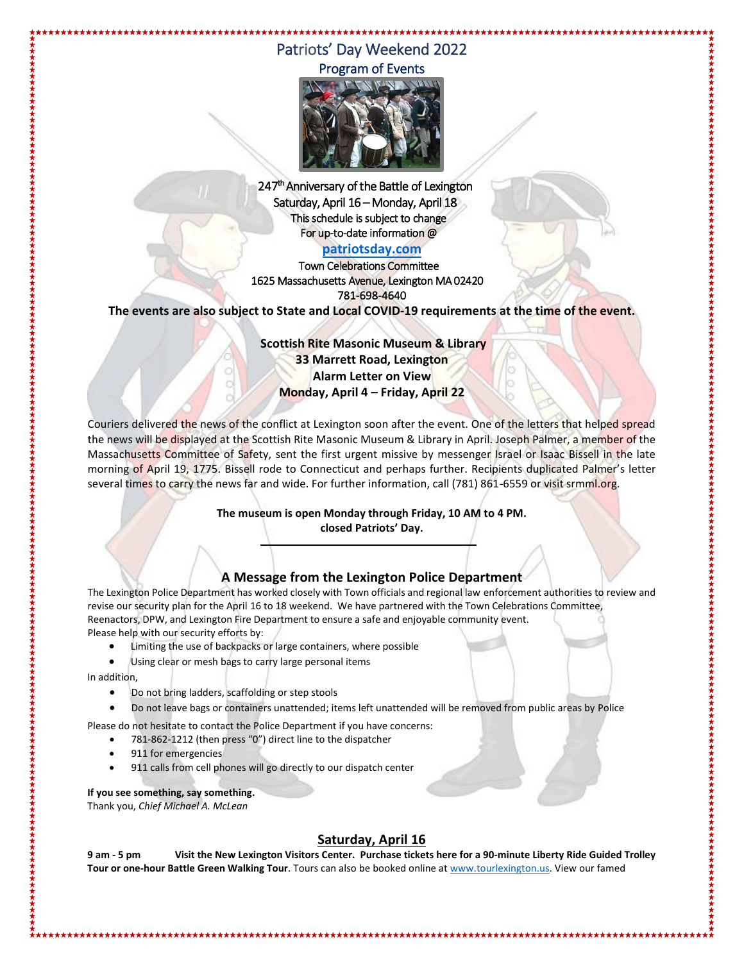# Patriots' Day Weekend 2022 Program of Events

\*\*\*\*\*\*\*\*\*\*\*\*\*\*\*\*\*\*\*\*\*\*\*\*\*\*\*\*\*\*\*\*\*\*\*\*\*



247<sup>th</sup> Anniversary of the Battle of Lexington Saturday, April 16 – Monday, April 18 This schedule is subject to change For up-to-date information @

#### **[patriotsday.com](http://www.lexingtonma.gov/patriotsday)**

Town Celebrations Committee 1625 Massachusetts Avenue, Lexington MA 02420 781-698-4640

**The events are also subject to State and Local COVID-19 requirements at the time of the event.**

**Scottish Rite Masonic Museum & Library 33 Marrett Road, Lexington Alarm Letter on View Monday, April 4 – Friday, April 22** 

Couriers delivered the news of the conflict at Lexington soon after the event. One of the letters that helped spread the news will be displayed at the Scottish Rite Masonic Museum & Library in April. Joseph Palmer, a member of the Massachusetts Committee of Safety, sent the first urgent missive by messenger Israel or Isaac Bissell in the late morning of April 19, 1775. Bissell rode to Connecticut and perhaps further. Recipients duplicated Palmer's letter several times to carry the news far and wide. For further information, call (781) 861-6559 or visit srmml.org.

> **The museum is open Monday through Friday, 10 AM to 4 PM. closed Patriots' Day.**

## **A Message from the Lexington Police Department**

The Lexington Police Department has worked closely with Town officials and regional law enforcement authorities to review and revise our security plan for the April 16 to 18 weekend. We have partnered with the Town Celebrations Committee, Reenactors, DPW, and Lexington Fire Department to ensure a safe and enjoyable community event. Please help with our security efforts by:

Limiting the use of backpacks or large containers, where possible

Using clear or mesh bags to carry large personal items

In addition,

- Do not bring ladders, scaffolding or step stools
- Do not leave bags or containers unattended; items left unattended will be removed from public areas by Police

Please do not hesitate to contact the Police Department if you have concerns:

- 781-862-1212 (then press "0") direct line to the dispatcher
- 911 for emergencies
- 911 calls from cell phones will go directly to our dispatch center

**If you see something, say something.**  Thank you, *Chief Michael A. McLean*

### **Saturday, April 16**

**9 am - 5 pm Visit the New Lexington Visitors Center. Purchase tickets here for a 90-minute Liberty Ride Guided Trolley Tour or one-hour Battle Green Walking Tour**. Tours can also be booked online a[t www.tourlexington.us.](http://www.tourlexington.us/) View our famed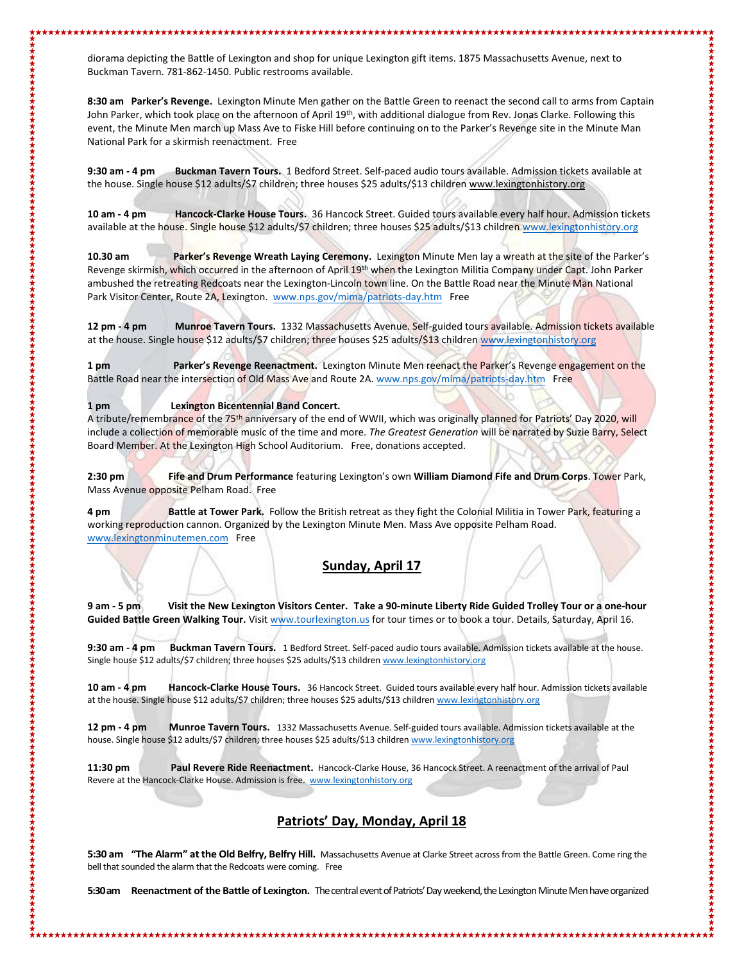diorama depicting the Battle of Lexington and shop for unique Lexington gift items. 1875 Massachusetts Avenue, next to Buckman Tavern. 781-862-1450. Public restrooms available.

**8:30 am Parker's Revenge.** Lexington Minute Men gather on the Battle Green to reenact the second call to arms from Captain John Parker, which took place on the afternoon of April 19<sup>th</sup>, with additional dialogue from Rev. Jonas Clarke. Following this event, the Minute Men march up Mass Ave to Fiske Hill before continuing on to the Parker's Revenge site in the Minute Man National Park for a skirmish reenactment. Free

**9:30 am - 4 pm Buckman Tavern Tours.** 1 Bedford Street. Self-paced audio tours available. Admission tickets available at the house. Single house \$12 adults/\$7 children; three houses \$25 adults/\$13 children www.lexingtonhistory.org

**10 am - 4 pm Hancock-Clarke House Tours.** 36 Hancock Street. Guided tours available every half hour. Admission tickets available at the house. Single house \$12 adults/\$7 children; three houses \$25 adults/\$13 children [www.lexingtonhistory.org](http://www.lexingtonhistory.org/)

**10.30 am Parker's Revenge Wreath Laying Ceremony.** Lexington Minute Men lay a wreath at the site of the Parker's Revenge skirmish, which occurred in the afternoon of April 19<sup>th</sup> when the Lexington Militia Company under Capt. John Parker ambushed the retreating Redcoats near the Lexington-Lincoln town line. On the Battle Road near the Minute Man National Park Visitor Center, Route 2A, Lexington. [www.nps.gov/mima/patriots-day.htm](http://www.nps.gov/mima/patriots-day.htm) Free

**12 pm - 4 pm Munroe Tavern Tours.** 1332 Massachusetts Avenue. Self-guided tours available. Admission tickets available at the house. Single house \$12 adults/\$7 children; three houses \$25 adults/\$13 children [www.lexingtonhistory.org](�https://www.lexingtonhistory.org)

**1 pm Parker's Revenge Reenactment.** Lexington Minute Men reenact the Parker's Revenge engagement on the Battle Road near the intersection of Old Mass Ave and Route 2A. [www.nps.gov/mima/patriots-day.htm](http://www.nps.gov/mima/patriots-day.htm) Free

**1 pm Lexington Bicentennial Band Concert.** 

A tribute/remembrance of the 75<sup>th</sup> anniversary of the end of WWII, which was originally planned for Patriots' Day 2020, will include a collection of memorable music of the time and more. *The Greatest Generation* will be narrated by Suzie Barry, Select Board Member. At the Lexington High School Auditorium. Free, donations accepted.

**2:30 pm Fife and Drum Performance** featuring Lexington's own **William Diamond Fife and Drum Corps**. Tower Park, Mass Avenue opposite Pelham Road. Free

**4 pm Battle at Tower Park.** Follow the British retreat as they fight the Colonial Militia in Tower Park, featuring a working reproduction cannon. Organized by the Lexington Minute Men. Mass Ave opposite Pelham Road. [www.lexingtonminutemen.com](http://www.lexingtonminutemen.com/) Free

#### **Sunday, April 17**

**9 am - 5 pm Visit the New Lexington Visitors Center. Take a 90-minute Liberty Ride Guided Trolley Tour or a one-hour Guided Battle Green Walking Tour.** Visit [www.tourlexington.us](https://www.tourlexington.us) for tour times or to book a tour. Details, Saturday, April 16.

**9:30 am - 4 pm Buckman Tavern Tours.** 1 Bedford Street. Self-paced audio tours available. Admission tickets available at the house. Single house \$12 adults/\$7 children; three houses \$25 adults/\$13 childre[n www.lexingtonhistory.org](http://www.lexingtonhistory.org/)

**10 am - 4 pm Hancock-Clarke House Tours.** 36 Hancock Street. Guided tours available every half hour. Admission tickets available at the house. Single house \$12 adults/\$7 children; three houses \$25 adults/\$13 childre[n www.lexingtonhistory.org](http://www.lexingtonhistory.org/)

**12 pm - 4 pm Munroe Tavern Tours.** 1332 Massachusetts Avenue. Self-guided tours available. Admission tickets available at the house. Single house \$12 adults/\$7 children; three houses \$25 adults/\$13 childre[n www.lexingtonhistory.org](http://www.lexingtonhistory.org/)

**11:30 pm Paul Revere Ride Reenactment.** Hancock-Clarke House, 36 Hancock Street. A reenactment of the arrival of Paul Revere at the Hancock-Clarke House. Admission is free. [www.lexingtonhistory.org](http://www.lexingtonhistory.org/)

### **Patriots' Day, Monday, April 18**

**5:30 am "The Alarm" at the Old Belfry, Belfry Hill.** Massachusetts Avenue at Clarke Street across from the Battle Green. Come ring the bell that sounded the alarm that the Redcoats were coming. Free

**5:30 am Reenactment of the Battle of Lexington.** The central event of Patriots' Day weekend, the Lexington Minute Men have organized